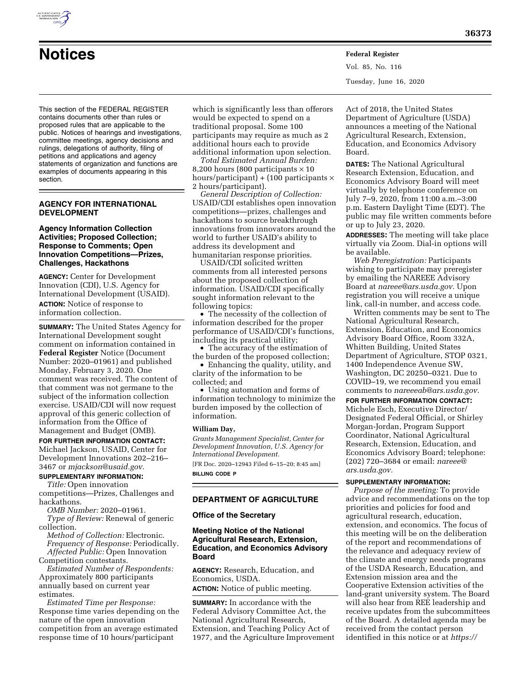

## **AGENCY FOR INTERNATIONAL DEVELOPMENT**

## **Agency Information Collection Activities; Proposed Collection; Response to Comments; Open Innovation Competitions—Prizes, Challenges, Hackathons**

**AGENCY:** Center for Development Innovation (CDI), U.S. Agency for International Development (USAID). **ACTION:** Notice of response to information collection.

**SUMMARY:** The United States Agency for International Development sought comment on information contained in **Federal Register** Notice (Document Number: 2020–01961) and published Monday, February 3, 2020. One comment was received. The content of that comment was not germane to the subject of the information collection exercise. USAID/CDI will now request approval of this generic collection of information from the Office of Management and Budget (OMB).

**FOR FURTHER INFORMATION CONTACT:**  Michael Jackson, USAID, Center for Development Innovations 202–216– 3467 or *[mjackson@usaid.gov.](mailto:mjackson@usaid.gov)* 

# **SUPPLEMENTARY INFORMATION:**

*Title:* Open innovation competitions—Prizes, Challenges and hackathons.

*OMB Number:* 2020–01961.

*Type of Review:* Renewal of generic collection.

*Method of Collection:* Electronic. *Frequency of Response:* Periodically. *Affected Public:* Open Innovation Competition contestants.

*Estimated Number of Respondents:*  Approximately 800 participants annually based on current year estimates.

*Estimated Time per Response:*  Response time varies depending on the nature of the open innovation competition from an average estimated response time of 10 hours/participant

which is significantly less than offerors would be expected to spend on a traditional proposal. Some 100 participants may require as much as 2 additional hours each to provide additional information upon selection.

**Notices Federal Register**

*Total Estimated Annual Burden:*  8,200 hours (800 participants  $\times$  10 hours/participant) +  $(100$  participants  $\times$ 2 hours/participant).

*General Description of Collection:*  USAID/CDI establishes open innovation competitions—prizes, challenges and hackathons to source breakthrough innovations from innovators around the world to further USAID's ability to address its development and humanitarian response priorities.

USAID/CDI solicited written comments from all interested persons about the proposed collection of information. USAID/CDI specifically sought information relevant to the following topics:

• The necessity of the collection of information described for the proper performance of USAID/CDI's functions, including its practical utility;

• The accuracy of the estimation of the burden of the proposed collection;

• Enhancing the quality, utility, and clarity of the information to be collected; and

• Using automation and forms of information technology to minimize the burden imposed by the collection of information.

#### **William Day,**

*Grants Management Specialist, Center for Development Innovation, U.S. Agency for International Development.* 

[FR Doc. 2020–12943 Filed 6–15–20; 8:45 am] **BILLING CODE P** 

# **DEPARTMENT OF AGRICULTURE**

#### **Office of the Secretary**

# **Meeting Notice of the National Agricultural Research, Extension, Education, and Economics Advisory Board**

**AGENCY:** Research, Education, and Economics, USDA.

**ACTION:** Notice of public meeting.

**SUMMARY:** In accordance with the Federal Advisory Committee Act, the National Agricultural Research, Extension, and Teaching Policy Act of 1977, and the Agriculture Improvement

Act of 2018, the United States Department of Agriculture (USDA) announces a meeting of the National Agricultural Research, Extension, Education, and Economics Advisory Board.

Vol. 85, No. 116

Tuesday, June 16, 2020

**DATES:** The National Agricultural Research Extension, Education, and Economics Advisory Board will meet virtually by telephone conference on July 7–9, 2020, from 11:00 a.m.–3:00 p.m. Eastern Daylight Time (EDT). The public may file written comments before or up to July 23, 2020.

**ADDRESSES:** The meeting will take place virtually via Zoom. Dial-in options will be available.

*Web Preregistration:* Participants wishing to participate may preregister by emailing the NAREEE Advisory Board at *[nareee@ars.usda.gov.](mailto:nareee@ars.usda.gov)* Upon registration you will receive a unique link, call-in number, and access code.

Written comments may be sent to The National Agricultural Research, Extension, Education, and Economics Advisory Board Office, Room 332A, Whitten Building, United States Department of Agriculture, STOP 0321, 1400 Independence Avenue SW, Washington, DC 20250–0321. Due to COVID–19, we recommend you email comments to *[nareeeab@ars.usda.gov.](mailto:nareeeab@ars.usda.gov)* 

#### **FOR FURTHER INFORMATION CONTACT:**

Michele Esch, Executive Director/ Designated Federal Official, or Shirley Morgan-Jordan, Program Support Coordinator, National Agricultural Research, Extension, Education, and Economics Advisory Board; telephone: (202) 720–3684 or email: *[nareee@](mailto:nareee@ars.usda.gov) [ars.usda.gov.](mailto:nareee@ars.usda.gov)* 

# **SUPPLEMENTARY INFORMATION:**

*Purpose of the meeting:* To provide advice and recommendations on the top priorities and policies for food and agricultural research, education, extension, and economics. The focus of this meeting will be on the deliberation of the report and recommendations of the relevance and adequacy review of the climate and energy needs programs of the USDA Research, Education, and Extension mission area and the Cooperative Extension activities of the land-grant university system. The Board will also hear from REE leadership and receive updates from the subcommittees of the Board. A detailed agenda may be received from the contact person identified in this notice or at *[https://](https://nareeeab.ree.usda.gov/meetings/general-meetings)* 



section.